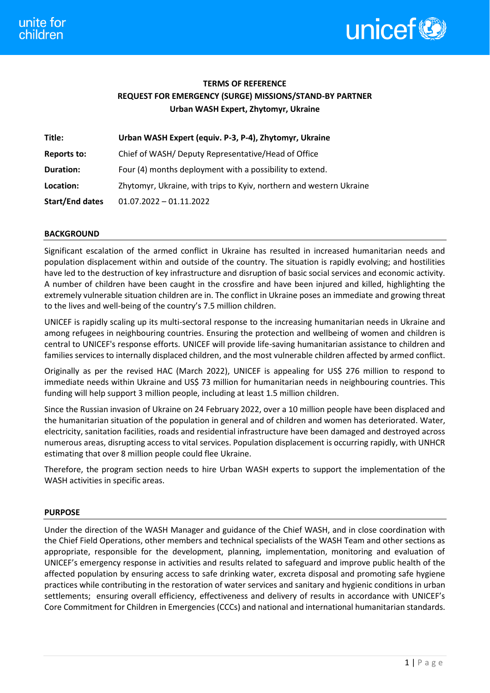

# **TERMS OF REFERENCE REQUEST FOR EMERGENCY (SURGE) MISSIONS/STAND-BY PARTNER Urban WASH Expert, Zhytomyr, Ukraine**

| Title:                 | Urban WASH Expert (equiv. P-3, P-4), Zhytomyr, Ukraine              |
|------------------------|---------------------------------------------------------------------|
| <b>Reports to:</b>     | Chief of WASH/Deputy Representative/Head of Office                  |
| Duration:              | Four (4) months deployment with a possibility to extend.            |
| Location:              | Zhytomyr, Ukraine, with trips to Kyiv, northern and western Ukraine |
| <b>Start/End dates</b> | $01.07.2022 - 01.11.2022$                                           |

## **BACKGROUND**

Significant escalation of the armed conflict in Ukraine has resulted in increased humanitarian needs and population displacement within and outside of the country. The situation is rapidly evolving; and hostilities have led to the destruction of key infrastructure and disruption of basic social services and economic activity. A number of children have been caught in the crossfire and have been injured and killed, highlighting the extremely vulnerable situation children are in. The conflict in Ukraine poses an immediate and growing threat to the lives and well-being of the country's 7.5 million children.

UNICEF is rapidly scaling up its multi-sectoral response to the increasing humanitarian needs in Ukraine and among refugees in neighbouring countries. Ensuring the protection and wellbeing of women and children is central to UNICEF's response efforts. UNICEF will provide life-saving humanitarian assistance to children and families services to internally displaced children, and the most vulnerable children affected by armed conflict.

Originally as per the revised HAC (March 2022), UNICEF is appealing for US\$ 276 million to respond to immediate needs within Ukraine and US\$ 73 million for humanitarian needs in neighbouring countries. This funding will help support 3 million people, including at least 1.5 million children.

Since the Russian invasion of Ukraine on 24 February 2022, over a 10 million people have been displaced and the humanitarian situation of the population in general and of children and women has deteriorated. Water, electricity, sanitation facilities, roads and residential infrastructure have been damaged and destroyed across numerous areas, disrupting access to vital services. Population displacement is occurring rapidly, with UNHCR estimating that over 8 million people could flee Ukraine.

Therefore, the program section needs to hire Urban WASH experts to support the implementation of the WASH activities in specific areas.

## **PURPOSE**

Under the direction of the WASH Manager and guidance of the Chief WASH, and in close coordination with the Chief Field Operations, other members and technical specialists of the WASH Team and other sections as appropriate, responsible for the development, planning, implementation, monitoring and evaluation of UNICEF's emergency response in activities and results related to safeguard and improve public health of the affected population by ensuring access to safe drinking water, excreta disposal and promoting safe hygiene practices while contributing in the restoration of water services and sanitary and hygienic conditions in urban settlements; ensuring overall efficiency, effectiveness and delivery of results in accordance with UNICEF's Core Commitment for Children in Emergencies (CCCs) and national and international humanitarian standards.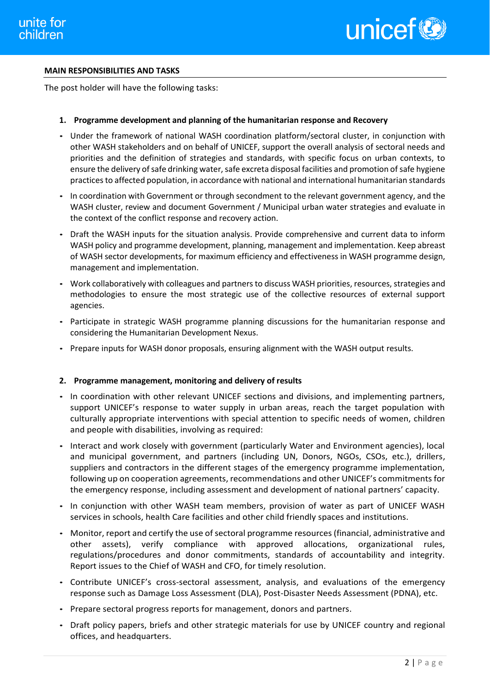

## **MAIN RESPONSIBILITIES AND TASKS**

The post holder will have the following tasks:

### **1. Programme development and planning of the humanitarian response and Recovery**

- Under the framework of national WASH coordination platform/sectoral cluster, in conjunction with other WASH stakeholders and on behalf of UNICEF, support the overall analysis of sectoral needs and priorities and the definition of strategies and standards, with specific focus on urban contexts, to ensure the delivery of safe drinking water, safe excreta disposal facilities and promotion of safe hygiene practices to affected population, in accordance with national and international humanitarian standards
- In coordination with Government or through secondment to the relevant government agency, and the WASH cluster, review and document Government / Municipal urban water strategies and evaluate in the context of the conflict response and recovery action.
- Draft the WASH inputs for the situation analysis. Provide comprehensive and current data to inform WASH policy and programme development, planning, management and implementation. Keep abreast of WASH sector developments, for maximum efficiency and effectiveness in WASH programme design, management and implementation.
- Work collaboratively with colleagues and partners to discuss WASH priorities, resources, strategies and methodologies to ensure the most strategic use of the collective resources of external support agencies.
- Participate in strategic WASH programme planning discussions for the humanitarian response and considering the Humanitarian Development Nexus.
- Prepare inputs for WASH donor proposals, ensuring alignment with the WASH output results.

#### **2. Programme management, monitoring and delivery of results**

- In coordination with other relevant UNICEF sections and divisions, and implementing partners, support UNICEF's response to water supply in urban areas, reach the target population with culturally appropriate interventions with special attention to specific needs of women, children and people with disabilities, involving as required:
- Interact and work closely with government (particularly Water and Environment agencies), local and municipal government, and partners (including UN, Donors, NGOs, CSOs, etc.), drillers, suppliers and contractors in the different stages of the emergency programme implementation, following up on cooperation agreements, recommendations and other UNICEF's commitments for the emergency response, including assessment and development of national partners' capacity.
- In conjunction with other WASH team members, provision of water as part of UNICEF WASH services in schools, health Care facilities and other child friendly spaces and institutions.
- Monitor, report and certify the use of sectoral programme resources (financial, administrative and other assets), verify compliance with approved allocations, organizational rules, regulations/procedures and donor commitments, standards of accountability and integrity. Report issues to the Chief of WASH and CFO, for timely resolution.
- Contribute UNICEF's cross-sectoral assessment, analysis, and evaluations of the emergency response such as Damage Loss Assessment (DLA), Post-Disaster Needs Assessment (PDNA), etc.
- Prepare sectoral progress reports for management, donors and partners.
- Draft policy papers, briefs and other strategic materials for use by UNICEF country and regional offices, and headquarters.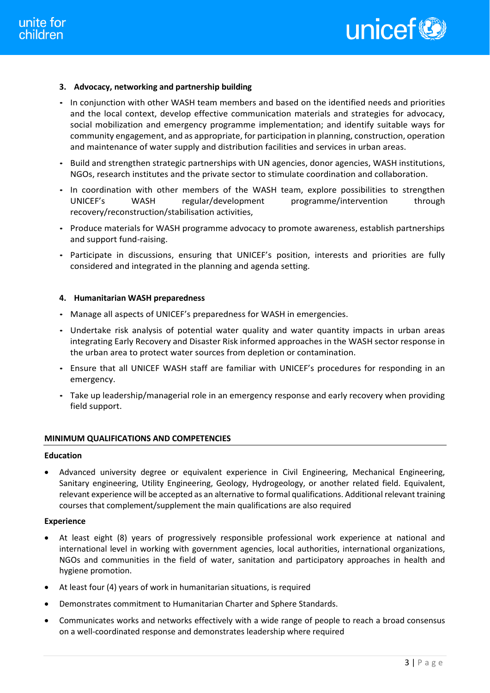## **3. Advocacy, networking and partnership building**

- In conjunction with other WASH team members and based on the identified needs and priorities and the local context, develop effective communication materials and strategies for advocacy, social mobilization and emergency programme implementation; and identify suitable ways for community engagement, and as appropriate, for participation in planning, construction, operation and maintenance of water supply and distribution facilities and services in urban areas.
- Build and strengthen strategic partnerships with UN agencies, donor agencies, WASH institutions, NGOs, research institutes and the private sector to stimulate coordination and collaboration.
- In coordination with other members of the WASH team, explore possibilities to strengthen UNICEF's WASH regular/development programme/intervention through recovery/reconstruction/stabilisation activities,
- Produce materials for WASH programme advocacy to promote awareness, establish partnerships and support fund-raising.
- Participate in discussions, ensuring that UNICEF's position, interests and priorities are fully considered and integrated in the planning and agenda setting.

## **4. Humanitarian WASH preparedness**

- Manage all aspects of UNICEF's preparedness for WASH in emergencies.
- Undertake risk analysis of potential water quality and water quantity impacts in urban areas integrating Early Recovery and Disaster Risk informed approaches in the WASH sector response in the urban area to protect water sources from depletion or contamination.
- Ensure that all UNICEF WASH staff are familiar with UNICEF's procedures for responding in an emergency.
- Take up leadership/managerial role in an emergency response and early recovery when providing field support.

## **MINIMUM QUALIFICATIONS AND COMPETENCIES**

## **Education**

• Advanced university degree or equivalent experience in Civil Engineering, Mechanical Engineering, Sanitary engineering, Utility Engineering, Geology, Hydrogeology, or another related field. Equivalent, relevant experience will be accepted as an alternative to formal qualifications. Additional relevant training courses that complement/supplement the main qualifications are also required

## **Experience**

- At least eight (8) years of progressively responsible professional work experience at national and international level in working with government agencies, local authorities, international organizations, NGOs and communities in the field of water, sanitation and participatory approaches in health and hygiene promotion.
- At least four (4) years of work in humanitarian situations, is required
- Demonstrates commitment to Humanitarian Charter and Sphere Standards.
- Communicates works and networks effectively with a wide range of people to reach a broad consensus on a well-coordinated response and demonstrates leadership where required